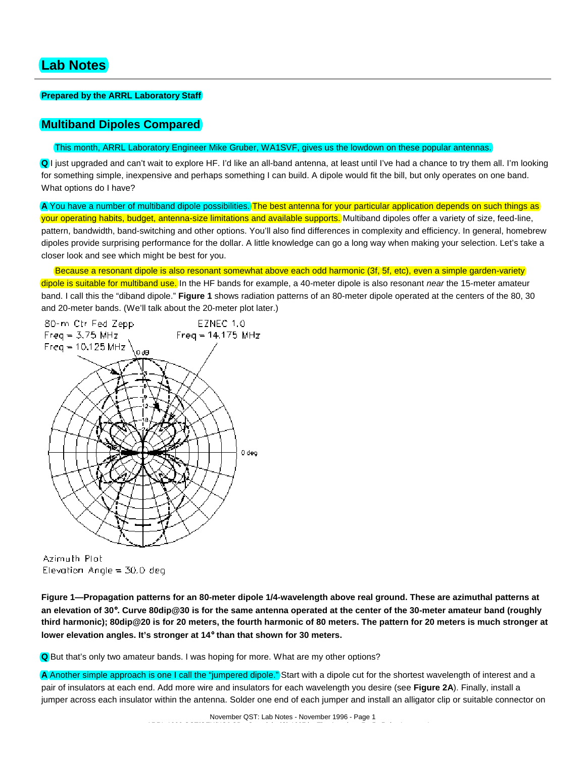## **Prepared by the ARRL Laboratory Staff**

# **Multiband Dipoles Compared**

### This month, ARRL Laboratory Engineer Mike Gruber, WA1SVF, gives us the lowdown on these popular antennas.

**Q** I just upgraded and can't wait to explore HF. I'd like an all-band antenna, at least until I've had a chance to try them all. I'm looking for something simple, inexpensive and perhaps something I can build. A dipole would fit the bill, but only operates on one band. What options do I have?

**A** You have a number of multiband dipole possibilities. The best antenna for your particular application depends on such things as your operating habits, budget, antenna-size limitations and available supports. Multiband dipoles offer a variety of size, feed-line, pattern, bandwidth, band-switching and other options. You'll also find differences in complexity and efficiency. In general, homebrew dipoles provide surprising performance for the dollar. A little knowledge can go a long way when making your selection. Let's take a closer look and see which might be best for you.

Because a resonant dipole is also resonant somewhat above each odd harmonic (3f, 5f, etc), even a simple garden-variety

dipole is suitable for multiband use. In the HF bands for example, a 40-meter dipole is also resonant *near* the 15-meter amateur band. I call this the "diband dipole." **Figure 1** shows radiation patterns of an 80-meter dipole operated at the centers of the 80, 30 and 20-meter bands. (We'll talk about the 20-meter plot later.)



Azimuth Plot Elevation Angle =  $30.0$  deg

**Figure 1—Propagation patterns for an 80-meter dipole 1/4-wavelength above real ground. These are azimuthal patterns at an elevation of 30**°**. Curve 80dip@30 is for the same antenna operated at the center of the 30-meter amateur band (roughly third harmonic); 80dip@20 is for 20 meters, the fourth harmonic of 80 meters. The pattern for 20 meters is much stronger at lower elevation angles. It's stronger at 14**° **than that shown for 30 meters.**

**Q** But that's only two amateur bands. I was hoping for more. What are my other options?

**A** Another simple approach is one I call the "jumpered dipole." Start with a dipole cut for the shortest wavelength of interest and a pair of insulators at each end. Add more wire and insulators for each wavelength you desire (see **Figure 2A**). Finally, install a jumper across each insulator within the antenna. Solder one end of each jumper and install an alligator clip or suitable connector on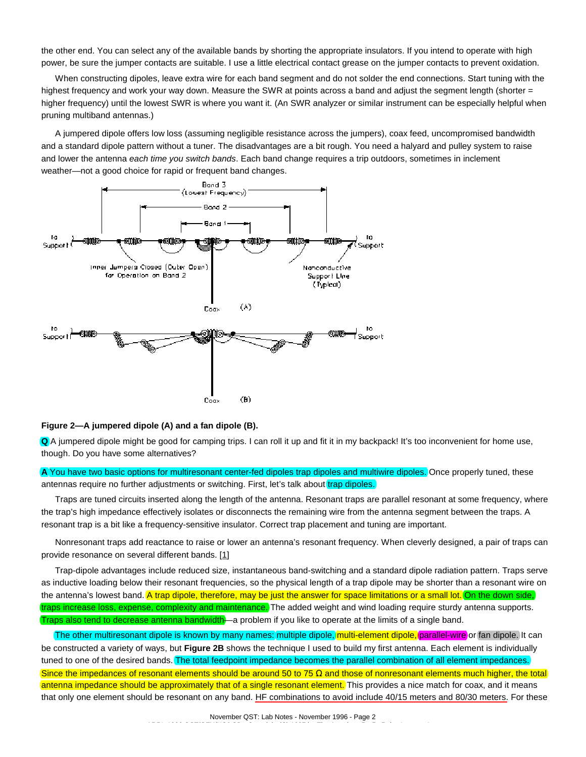the other end. You can select any of the available bands by shorting the appropriate insulators. If you intend to operate with high power, be sure the jumper contacts are suitable. I use a little electrical contact grease on the jumper contacts to prevent oxidation.

When constructing dipoles, leave extra wire for each band segment and do not solder the end connections. Start tuning with the highest frequency and work your way down. Measure the SWR at points across a band and adjust the segment length (shorter = higher frequency) until the lowest SWR is where you want it. (An SWR analyzer or similar instrument can be especially helpful when pruning multiband antennas.)

A jumpered dipole offers low loss (assuming negligible resistance across the jumpers), coax feed, uncompromised bandwidth and a standard dipole pattern without a tuner. The disadvantages are a bit rough. You need a halyard and pulley system to raise and lower the antenna *each time you switch bands*. Each band change requires a trip outdoors, sometimes in inclement weather—not a good choice for rapid or frequent band changes.



#### **Figure 2—A jumpered dipole (A) and a fan dipole (B).**

**Q** A jumpered dipole might be good for camping trips. I can roll it up and fit it in my backpack! It's too inconvenient for home use, though. Do you have some alternatives?

**A** You have two basic options for multiresonant center-fed dipoles trap dipoles and multiwire dipoles. Once properly tuned, these antennas require no further adjustments or switching. First, let's talk about trap dipoles.

Traps are tuned circuits inserted along the length of the antenna. Resonant traps are parallel resonant at some frequency, where the trap's high impedance effectively isolates or disconnects the remaining wire from the antenna segment between the traps. A resonant trap is a bit like a frequency-sensitive insulator. Correct trap placement and tuning are important.

Nonresonant traps add reactance to raise or lower an antenna's resonant frequency. When cleverly designed, a pair of traps can provide resonance on several different bands. [1]

Trap-dipole advantages include reduced size, instantaneous band-switching and a standard dipole radiation pattern. Traps serve as inductive loading below their resonant frequencies, so the physical length of a trap dipole may be shorter than a resonant wire on the antenna's lowest band. A trap dipole, therefore, may be just the answer for space limitations or a small lot. On the down side, traps increase loss, expense, complexity and maintenance. The added weight and wind loading require sturdy antenna supports. Traps also tend to decrease antenna bandwidth—a problem if you like to operate at the limits of a single band.

The other multiresonant dipole is known by many names: multiple dipole, multi-element dipole, parallel-wire or fan dipole. It can be constructed a variety of ways, but **Figure 2B** shows the technique I used to build my first antenna. Each element is individually tuned to one of the desired bands. The total feedpoint impedance becomes the parallel combination of all element impedances. Since the impedances of resonant elements should be around 50 to 75  $\Omega$  and those of nonresonant elements much higher, the total antenna impedance should be approximately that of a single resonant element. This provides a nice match for coax, and it means that only one element should be resonant on any band. HF combinations to avoid include 40/15 meters and 80/30 meters. For these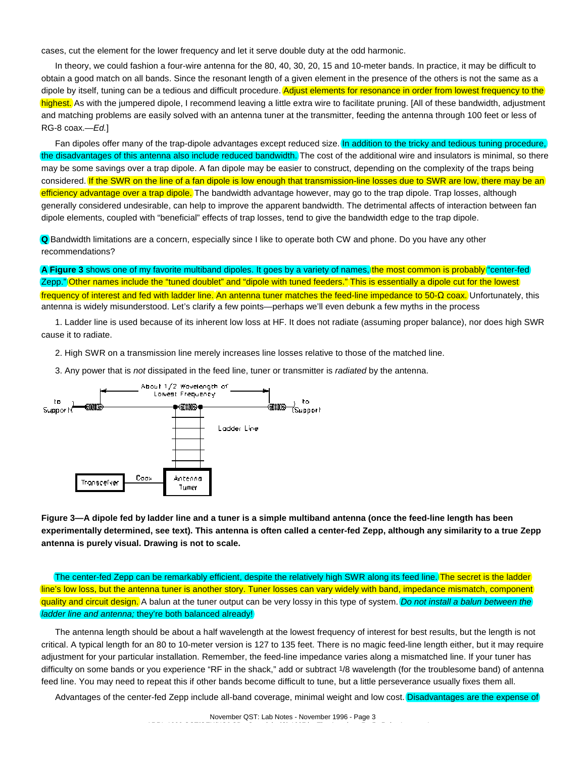cases, cut the element for the lower frequency and let it serve double duty at the odd harmonic.

In theory, we could fashion a four-wire antenna for the 80, 40, 30, 20, 15 and 10-meter bands. In practice, it may be difficult to obtain a good match on all bands. Since the resonant length of a given element in the presence of the others is not the same as a dipole by itself, tuning can be a tedious and difficult procedure. Adjust elements for resonance in order from lowest frequency to the highest. As with the jumpered dipole, I recommend leaving a little extra wire to facilitate pruning. [All of these bandwidth, adjustment and matching problems are easily solved with an antenna tuner at the transmitter, feeding the antenna through 100 feet or less of RG-8 coax.—*Ed.*]

Fan dipoles offer many of the trap-dipole advantages except reduced size. In addition to the tricky and tedious tuning procedure, the disadvantages of this antenna also include reduced bandwidth. The cost of the additional wire and insulators is minimal, so there may be some savings over a trap dipole. A fan dipole may be easier to construct, depending on the complexity of the traps being considered. If the SWR on the line of a fan dipole is low enough that transmission-line losses due to SWR are low, there may be an efficiency advantage over a trap dipole. The bandwidth advantage however, may go to the trap dipole. Trap losses, although generally considered undesirable, can help to improve the apparent bandwidth. The detrimental affects of interaction between fan dipole elements, coupled with "beneficial" effects of trap losses, tend to give the bandwidth edge to the trap dipole.

**Q** Bandwidth limitations are a concern, especially since I like to operate both CW and phone. Do you have any other recommendations?

**A Figure 3** shows one of my favorite multiband dipoles. It goes by a variety of names, the most common is probably "center-fed Zepp." Other names include the "tuned doublet" and "dipole with tuned feeders." This is essentially a dipole cut for the lowest frequency of interest and fed with ladder line. An antenna tuner matches the feed-line impedance to 50-Ω coax. Unfortunately, this antenna is widely misunderstood. Let's clarify a few points—perhaps we'll even debunk a few myths in the process

1. Ladder line is used because of its inherent low loss at HF. It does not radiate (assuming proper balance), nor does high SWR cause it to radiate.

2. High SWR on a transmission line merely increases line losses relative to those of the matched line.

3. Any power that is *not* dissipated in the feed line, tuner or transmitter is *radiated* by the antenna.



**Figure 3—A dipole fed by ladder line and a tuner is a simple multiband antenna (once the feed-line length has been experimentally determined, see text). This antenna is often called a center-fed Zepp, although any similarity to a true Zepp antenna is purely visual. Drawing is not to scale.**

The center-fed Zepp can be remarkably efficient, despite the relatively high SWR along its feed line. The secret is the ladder line's low loss, but the antenna tuner is another story. Tuner losses can vary widely with band, impedance mismatch, component quality and circuit design. A balun at the tuner output can be very lossy in this type of system. *Do not install a balun between the ladder line and antenna;* they're both balanced already!

The antenna length should be about a half wavelength at the lowest frequency of interest for best results, but the length is not critical. A typical length for an 80 to 10-meter version is 127 to 135 feet. There is no magic feed-line length either, but it may require adjustment for your particular installation. Remember, the feed-line impedance varies along a mismatched line. If your tuner has difficulty on some bands or you experience "RF in the shack," add or subtract 1/8 wavelength (for the troublesome band) of antenna feed line. You may need to repeat this if other bands become difficult to tune, but a little perseverance usually fixes them all.

Advantages of the center-fed Zepp include all-band coverage, minimal weight and low cost. Disadvantages are the expense of